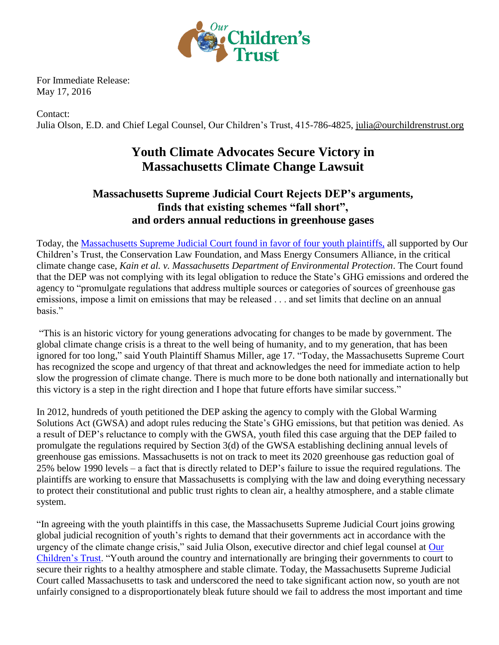

For Immediate Release: May 17, 2016

Contact:

Julia Olson, E.D. and Chief Legal Counsel, Our Children's Trust, 415-786-4825, [julia@ourchildrenstrust.org](mailto:julia@ourchildrenstrust.org)

## **Youth Climate Advocates Secure Victory in Massachusetts Climate Change Lawsuit**

## **Massachusetts Supreme Judicial Court Rejects DEP's arguments, finds that existing schemes "fall short", and orders annual reductions in greenhouse gases**

Today, the [Massachusetts Supreme Judicial Court found in favor of four youth plaintiffs,](http://www.ourchildrenstrust.org/sites/default/files/2016.05.17.MASupCtDecision.pdf) all supported by Our Children's Trust, the Conservation Law Foundation, and Mass Energy Consumers Alliance, in the critical climate change case, *Kain et al. v. Massachusetts Department of Environmental Protection*. The Court found that the DEP was not complying with its legal obligation to reduce the State's GHG emissions and ordered the agency to "promulgate regulations that address multiple sources or categories of sources of greenhouse gas emissions, impose a limit on emissions that may be released . . . and set limits that decline on an annual basis."

"This is an historic victory for young generations advocating for changes to be made by government. The global climate change crisis is a threat to the well being of humanity, and to my generation, that has been ignored for too long," said Youth Plaintiff Shamus Miller, age 17. "Today, the Massachusetts Supreme Court has recognized the scope and urgency of that threat and acknowledges the need for immediate action to help slow the progression of climate change. There is much more to be done both nationally and internationally but this victory is a step in the right direction and I hope that future efforts have similar success."

In 2012, hundreds of youth petitioned the DEP asking the agency to comply with the Global Warming Solutions Act (GWSA) and adopt rules reducing the State's GHG emissions, but that petition was denied. As a result of DEP's reluctance to comply with the GWSA, youth filed this case arguing that the DEP failed to promulgate the regulations required by Section 3(d) of the GWSA establishing declining annual levels of greenhouse gas emissions. Massachusetts is not on track to meet its 2020 greenhouse gas reduction goal of 25% below 1990 levels – a fact that is directly related to DEP's failure to issue the required regulations. The plaintiffs are working to ensure that Massachusetts is complying with the law and doing everything necessary to protect their constitutional and public trust rights to clean air, a healthy atmosphere, and a stable climate system.

"In agreeing with the youth plaintiffs in this case, the Massachusetts Supreme Judicial Court joins growing global judicial recognition of youth's rights to demand that their governments act in accordance with the urgency of the climate change crisis," said Julia Olson, executive director and chief legal counsel at Our [Children's Trust.](http://www.ourchildrenstrust.org/) "Youth around the country and internationally are bringing their governments to court to secure their rights to a healthy atmosphere and stable climate. Today, the Massachusetts Supreme Judicial Court called Massachusetts to task and underscored the need to take significant action now, so youth are not unfairly consigned to a disproportionately bleak future should we fail to address the most important and time